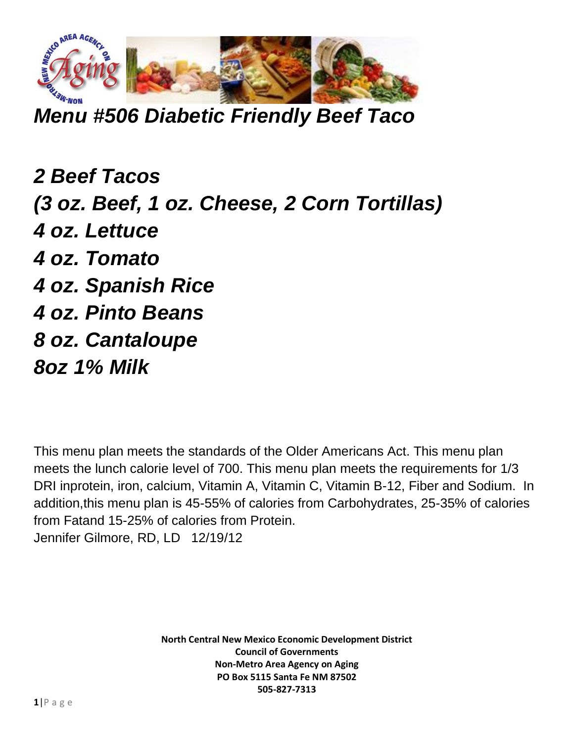

*Menu #506 Diabetic Friendly Beef Taco*

*2 Beef Tacos (3 oz. Beef, 1 oz. Cheese, 2 Corn Tortillas) 4 oz. Lettuce 4 oz. Tomato 4 oz. Spanish Rice 4 oz. Pinto Beans 8 oz. Cantaloupe 8oz 1% Milk*

This menu plan meets the standards of the Older Americans Act. This menu plan meets the lunch calorie level of 700. This menu plan meets the requirements for 1/3 DRI inprotein, iron, calcium, Vitamin A, Vitamin C, Vitamin B-12, Fiber and Sodium. In addition,this menu plan is 45-55% of calories from Carbohydrates, 25-35% of calories from Fatand 15-25% of calories from Protein. Jennifer Gilmore, RD, LD 12/19/12

> **North Central New Mexico Economic Development District Council of Governments Non-Metro Area Agency on Aging PO Box 5115 Santa Fe NM 87502 505-827-7313**